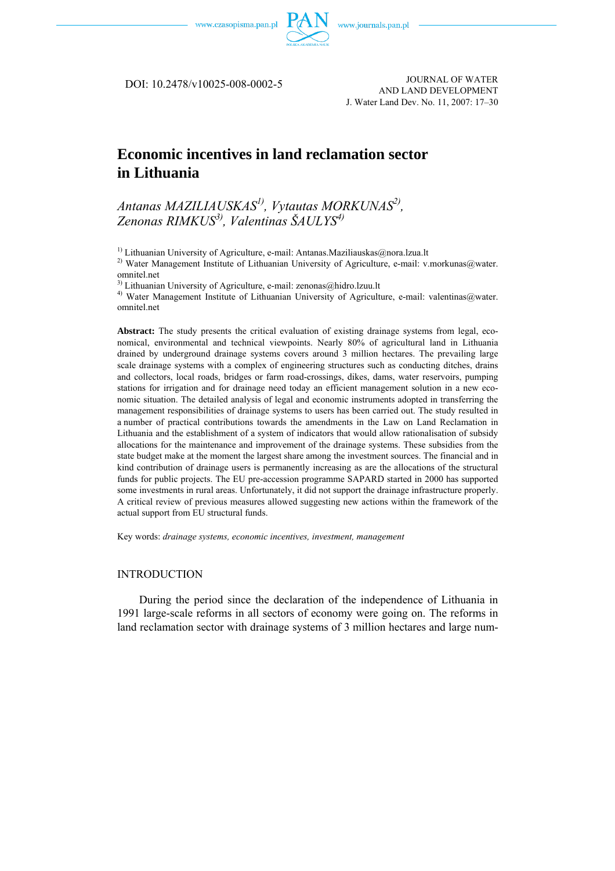

JOURNAL OF WATER DOI: 10.2478/v10025-008-0002-5 AND LAND DEVELOPMENT J. Water Land Dev. No. 11, 2007: 17–30

# **Economic incentives in land reclamation sector in Lithuania**

## *Antanas MAZILIAUSKAS1), Vytautas MORKUNAS2), Zenonas RIMKUS3), Valentinas ŠAULYS4)*

<sup>1)</sup> Lithuanian University of Agriculture, e-mail: [Antanas.Maziliauskas@nora.lzua.lt](mailto:Antanas.Maziliauskas@nora.lzua.lt)

<sup>2)</sup> Water Management Institute of Lithuanian University of Agriculture, e-mail: v.morkunas@water. omnitel.net

 $3)$  Lithuanian University of Agriculture, e-mail: zenonas@hidro.lzuu.lt

<sup>4)</sup> Water Management Institute of Lithuanian University of Agriculture, e-mail: valentinas@water. omnitel.net

**Abstract:** The study presents the critical evaluation of existing drainage systems from legal, economical, environmental and technical viewpoints. Nearly 80% of agricultural land in Lithuania drained by underground drainage systems covers around 3 million hectares. The prevailing large scale drainage systems with a complex of engineering structures such as conducting ditches, drains and collectors, local roads, bridges or farm road-crossings, dikes, dams, water reservoirs, pumping stations for irrigation and for drainage need today an efficient management solution in a new economic situation. The detailed analysis of legal and economic instruments adopted in transferring the management responsibilities of drainage systems to users has been carried out. The study resulted in a number of practical contributions towards the amendments in the Law on Land Reclamation in Lithuania and the establishment of a system of indicators that would allow rationalisation of subsidy allocations for the maintenance and improvement of the drainage systems. These subsidies from the state budget make at the moment the largest share among the investment sources. The financial and in kind contribution of drainage users is permanently increasing as are the allocations of the structural funds for public projects. The EU pre-accession programme SAPARD started in 2000 has supported some investments in rural areas. Unfortunately, it did not support the drainage infrastructure properly. A critical review of previous measures allowed suggesting new actions within the framework of the actual support from EU structural funds.

Key words: *drainage systems, economic incentives, investment, management* 

## INTRODUCTION

During the period since the declaration of the independence of Lithuania in 1991 large-scale reforms in all sectors of economy were going on. The reforms in land reclamation sector with drainage systems of 3 million hectares and large num-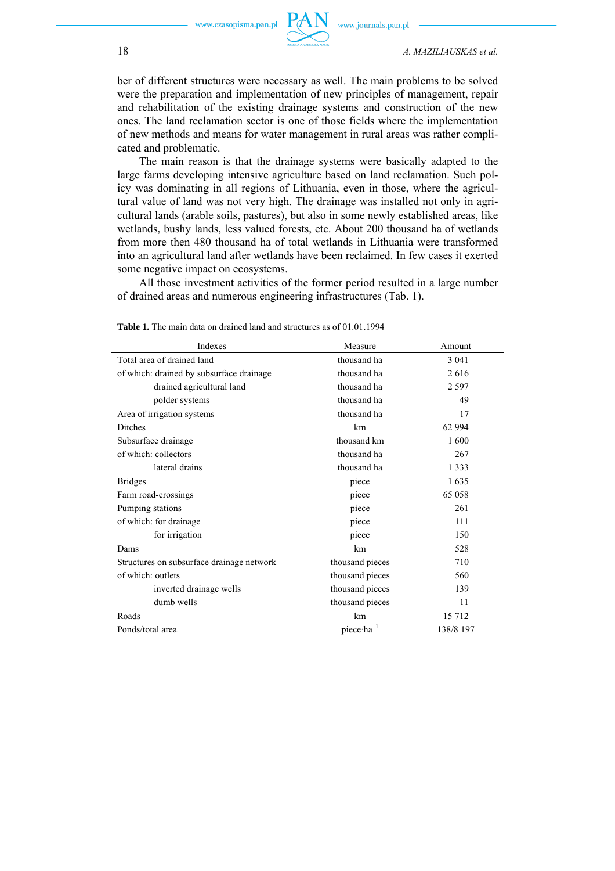

ber of different structures were necessary as well. The main problems to be solved were the preparation and implementation of new principles of management, repair and rehabilitation of the existing drainage systems and construction of the new ones. The land reclamation sector is one of those fields where the implementation of new methods and means for water management in rural areas was rather complicated and problematic.

The main reason is that the drainage systems were basically adapted to the large farms developing intensive agriculture based on land reclamation. Such policy was dominating in all regions of Lithuania, even in those, where the agricultural value of land was not very high. The drainage was installed not only in agricultural lands (arable soils, pastures), but also in some newly established areas, like wetlands, bushy lands, less valued forests, etc. About 200 thousand ha of wetlands from more then 480 thousand ha of total wetlands in Lithuania were transformed into an agricultural land after wetlands have been reclaimed. In few cases it exerted some negative impact on ecosystems.

All those investment activities of the former period resulted in a large number of drained areas and numerous engineering infrastructures (Tab. 1).

| Indexes                                   | Measure                        | Amount    |
|-------------------------------------------|--------------------------------|-----------|
| Total area of drained land                | thousand ha                    | 3 0 4 1   |
| of which: drained by subsurface drainage  | thousand ha                    | 2616      |
| drained agricultural land                 | thousand ha                    | 2 5 9 7   |
| polder systems                            | thousand ha                    | 49        |
| Area of irrigation systems                | thousand ha                    | 17        |
| <b>Ditches</b>                            | km                             | 62 994    |
| Subsurface drainage                       | thousand km                    | 1 600     |
| of which: collectors                      | thousand ha                    | 267       |
| lateral drains                            | thousand ha                    | 1 3 3 3   |
| <b>Bridges</b>                            | piece                          | 1635      |
| Farm road-crossings                       | piece                          | 65 058    |
| Pumping stations                          | piece                          | 261       |
| of which: for drainage                    | piece                          | 111       |
| for irrigation                            | piece                          | 150       |
| Dams                                      | km                             | 528       |
| Structures on subsurface drainage network | thousand pieces                | 710       |
| of which: outlets                         | thousand pieces                | 560       |
| inverted drainage wells                   | thousand pieces                | 139       |
| dumb wells                                | thousand pieces                | 11        |
| Roads                                     | km                             | 15 7 12   |
| Ponds/total area                          | piece $\cdot$ ha <sup>-1</sup> | 138/8 197 |

**Table 1.** The main data on drained land and structures as of 01.01.1994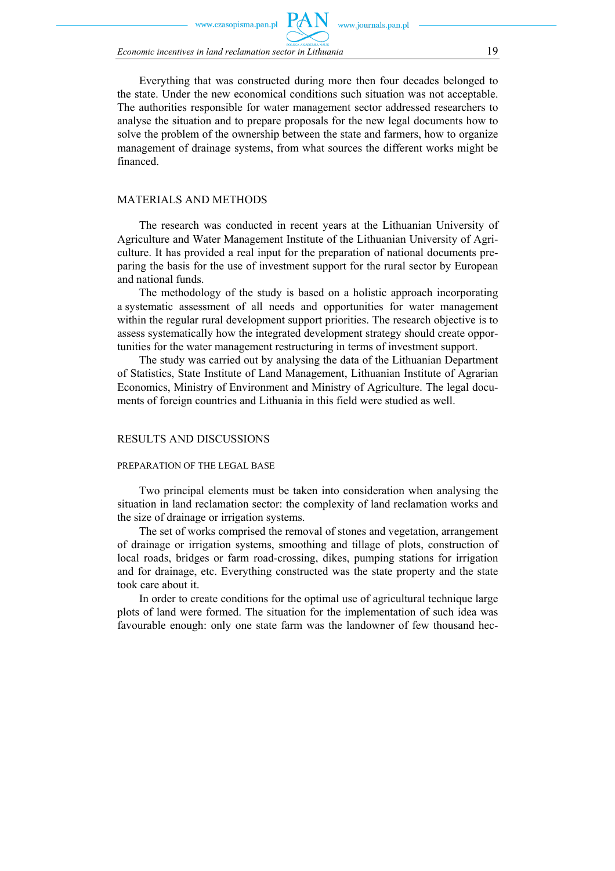zasopisma.pan.pl

*Economic incentives in land reclamation sector in Lithuania* 19

Everything that was constructed during more then four decades belonged to the state. Under the new economical conditions such situation was not acceptable. The authorities responsible for water management sector addressed researchers to analyse the situation and to prepare proposals for the new legal documents how to solve the problem of the ownership between the state and farmers, how to organize management of drainage systems, from what sources the different works might be financed.

## MATERIALS AND METHODS

The research was conducted in recent years at the Lithuanian University of Agriculture and Water Management Institute of the Lithuanian University of Agriculture. It has provided a real input for the preparation of national documents preparing the basis for the use of investment support for the rural sector by European and national funds.

The methodology of the study is based on a holistic approach incorporating a systematic assessment of all needs and opportunities for water management within the regular rural development support priorities. The research objective is to assess systematically how the integrated development strategy should create opportunities for the water management restructuring in terms of investment support.

The study was carried out by analysing the data of the Lithuanian Department of Statistics, State Institute of Land Management, Lithuanian Institute of Agrarian Economics, Ministry of Environment and Ministry of Agriculture. The legal documents of foreign countries and Lithuania in this field were studied as well.

#### RESULTS AND DISCUSSIONS

#### PREPARATION OF THE LEGAL BASE

Two principal elements must be taken into consideration when analysing the situation in land reclamation sector: the complexity of land reclamation works and the size of drainage or irrigation systems.

The set of works comprised the removal of stones and vegetation, arrangement of drainage or irrigation systems, smoothing and tillage of plots, construction of local roads, bridges or farm road-crossing, dikes, pumping stations for irrigation and for drainage, etc. Everything constructed was the state property and the state took care about it.

In order to create conditions for the optimal use of agricultural technique large plots of land were formed. The situation for the implementation of such idea was favourable enough: only one state farm was the landowner of few thousand hec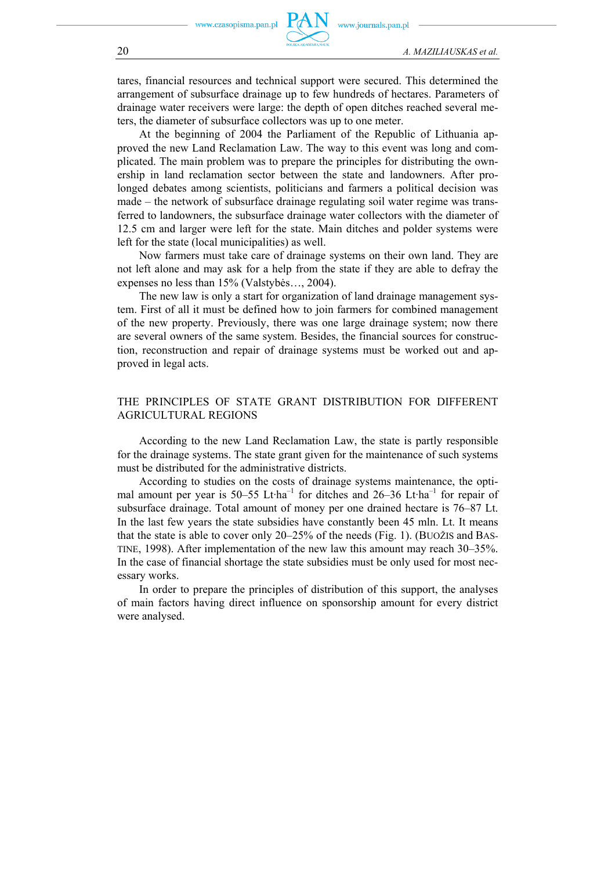tares, financial resources and technical support were secured. This determined the arrangement of subsurface drainage up to few hundreds of hectares. Parameters of drainage water receivers were large: the depth of open ditches reached several meters, the diameter of subsurface collectors was up to one meter.

At the beginning of 2004 the Parliament of the Republic of Lithuania approved the new Land Reclamation Law. The way to this event was long and complicated. The main problem was to prepare the principles for distributing the ownership in land reclamation sector between the state and landowners. After prolonged debates among scientists, politicians and farmers a political decision was made – the network of subsurface drainage regulating soil water regime was transferred to landowners, the subsurface drainage water collectors with the diameter of 12.5 cm and larger were left for the state. Main ditches and polder systems were left for the state (local municipalities) as well.

Now farmers must take care of drainage systems on their own land. They are not left alone and may ask for a help from the state if they are able to defray the expenses no less than 15% (Valstybės…, 2004).

The new law is only a start for organization of land drainage management system. First of all it must be defined how to join farmers for combined management of the new property. Previously, there was one large drainage system; now there are several owners of the same system. Besides, the financial sources for construction, reconstruction and repair of drainage systems must be worked out and approved in legal acts.

## THE PRINCIPLES OF STATE GRANT DISTRIBUTION FOR DIFFERENT AGRICULTURAL REGIONS

According to the new Land Reclamation Law, the state is partly responsible for the drainage systems. The state grant given for the maintenance of such systems must be distributed for the administrative districts.

According to studies on the costs of drainage systems maintenance, the optimal amount per year is  $50-55$  Lt·ha<sup>-1</sup> for ditches and  $26-36$  Lt·ha<sup>-1</sup> for repair of subsurface drainage. Total amount of money per one drained hectare is 76–87 Lt. In the last few years the state subsidies have constantly been 45 mln. Lt. It means that the state is able to cover only 20–25% of the needs (Fig. 1). (BUOŽIS and BAS-TINE, 1998). After implementation of the new law this amount may reach 30–35%. In the case of financial shortage the state subsidies must be only used for most necessary works.

In order to prepare the principles of distribution of this support, the analyses of main factors having direct influence on sponsorship amount for every district were analysed.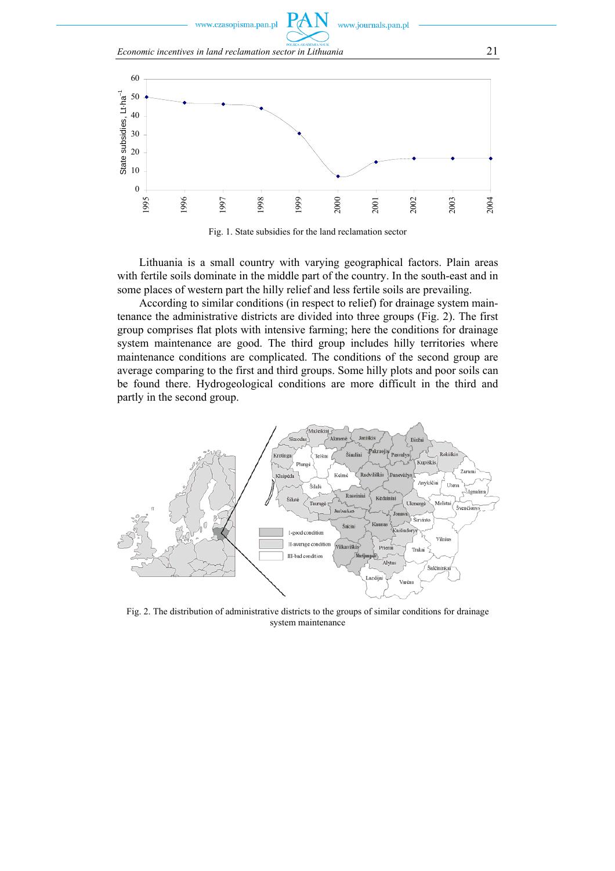www.czasopisma.pan.pl

www.journals.pan.pl





Fig. 1. State subsidies for the land reclamation sector

Lithuania is a small country with varying geographical factors. Plain areas with fertile soils dominate in the middle part of the country. In the south-east and in some places of western part the hilly relief and less fertile soils are prevailing.

According to similar conditions (in respect to relief) for drainage system maintenance the administrative districts are divided into three groups (Fig. 2). The first group comprises flat plots with intensive farming; here the conditions for drainage system maintenance are good. The third group includes hilly territories where maintenance conditions are complicated. The conditions of the second group are average comparing to the first and third groups. Some hilly plots and poor soils can be found there. Hydrogeological conditions are more difficult in the third and partly in the second group.



Fig. 2. The distribution of administrative districts to the groups of similar conditions for drainage system maintenance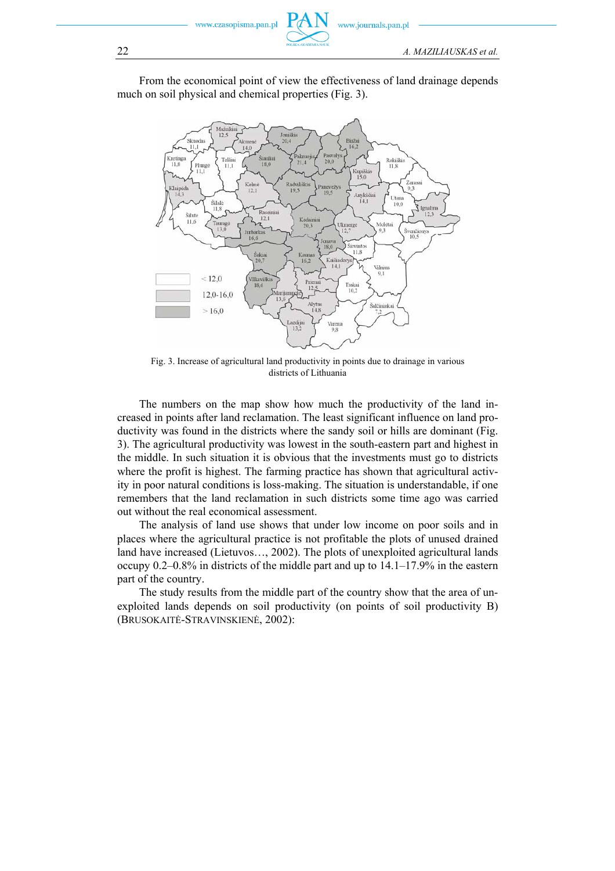www.czasopisma.pan.pl



From the economical point of view the effectiveness of land drainage depends much on soil physical and chemical properties (Fig. 3).



Fig. 3. Increase of agricultural land productivity in points due to drainage in various districts of Lithuania

The numbers on the map show how much the productivity of the land increased in points after land reclamation. The least significant influence on land productivity was found in the districts where the sandy soil or hills are dominant (Fig. 3). The agricultural productivity was lowest in the south-eastern part and highest in the middle. In such situation it is obvious that the investments must go to districts where the profit is highest. The farming practice has shown that agricultural activity in poor natural conditions is loss-making. The situation is understandable, if one remembers that the land reclamation in such districts some time ago was carried out without the real economical assessment.

The analysis of land use shows that under low income on poor soils and in places where the agricultural practice is not profitable the plots of unused drained land have increased (Lietuvos…, 2002). The plots of unexploited agricultural lands occupy 0.2–0.8% in districts of the middle part and up to 14.1–17.9% in the eastern part of the country.

The study results from the middle part of the country show that the area of unexploited lands depends on soil productivity (on points of soil productivity B) (BRUSOKAITĖ-STRAVINSKIENĖ, 2002):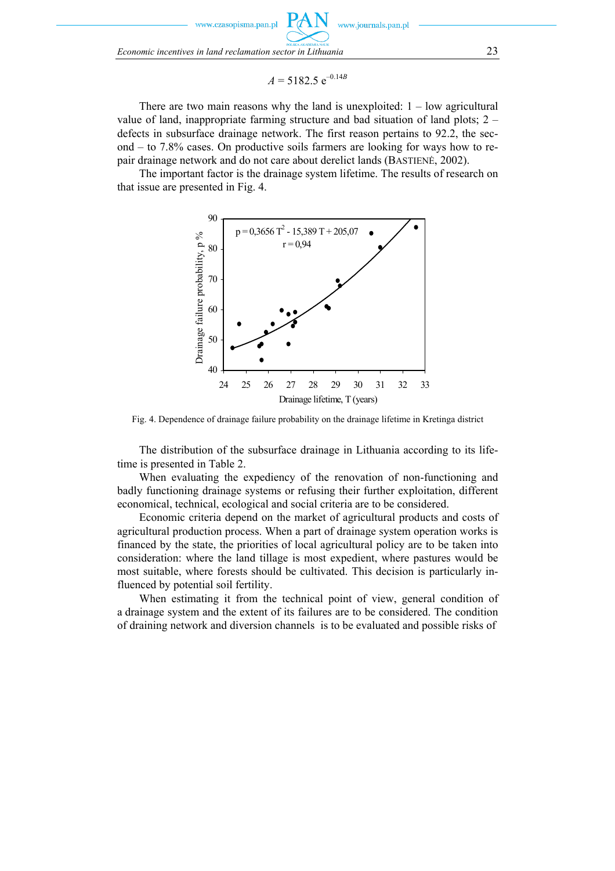zasopisma.pan.pl

*Economic incentives in land reclamation sector in Lithuania* 23

$$
A = 5182.5 \, \mathrm{e}^{-0.14B}
$$

www.journals.pan.pl

There are two main reasons why the land is unexploited:  $1 - low$  agricultural value of land, inappropriate farming structure and bad situation of land plots;  $2$ defects in subsurface drainage network. The first reason pertains to 92.2, the second – to 7.8% cases. On productive soils farmers are looking for ways how to repair drainage network and do not care about derelict lands (BASTIENĖ, 2002).

The important factor is the drainage system lifetime. The results of research on that issue are presented in Fig. 4.



Fig. 4. Dependence of drainage failure probability on the drainage lifetime in Kretinga district

The distribution of the subsurface drainage in Lithuania according to its lifetime is presented in Table 2.

When evaluating the expediency of the renovation of non-functioning and badly functioning drainage systems or refusing their further exploitation, different economical, technical, ecological and social criteria are to be considered.

Economic criteria depend on the market of agricultural products and costs of agricultural production process. When a part of drainage system operation works is financed by the state, the priorities of local agricultural policy are to be taken into consideration: where the land tillage is most expedient, where pastures would be most suitable, where forests should be cultivated. This decision is particularly influenced by potential soil fertility.

When estimating it from the technical point of view, general condition of a drainage system and the extent of its failures are to be considered. The condition of draining network and diversion channels is to be evaluated and possible risks of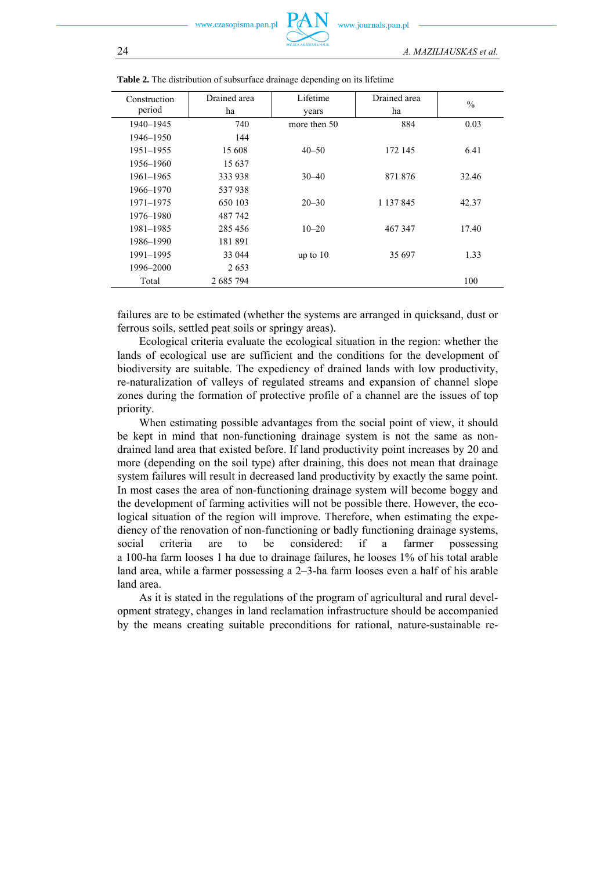| Construction | Drained area | Lifetime     | Drained area | $\frac{0}{0}$ |
|--------------|--------------|--------------|--------------|---------------|
| period       | ha           | years        | ha           |               |
| 1940-1945    | 740          | more then 50 | 884          | 0.03          |
| 1946–1950    | 144          |              |              |               |
| 1951-1955    | 15 608       | $40 - 50$    | 172 145      | 6.41          |
| 1956–1960    | 15 637       |              |              |               |
| 1961-1965    | 333 938      | $30 - 40$    | 871 876      | 32.46         |
| 1966–1970    | 537938       |              |              |               |
| 1971-1975    | 650 103      | $20 - 30$    | 1 137 845    | 42.37         |
| 1976–1980    | 487 742      |              |              |               |
| 1981-1985    | 285 456      | $10 - 20$    | 467 347      | 17.40         |
| 1986–1990    | 181891       |              |              |               |
| 1991-1995    | 33 044       | up to $10$   | 35 697       | 1.33          |
| 1996-2000    | 2653         |              |              |               |
| Total        | 2 685 794    |              |              | 100           |

|  |  | Table 2. The distribution of subsurface drainage depending on its lifetime |  |  |  |  |
|--|--|----------------------------------------------------------------------------|--|--|--|--|
|--|--|----------------------------------------------------------------------------|--|--|--|--|

failures are to be estimated (whether the systems are arranged in quicksand, dust or ferrous soils, settled peat soils or springy areas).

Ecological criteria evaluate the ecological situation in the region: whether the lands of ecological use are sufficient and the conditions for the development of biodiversity are suitable. The expediency of drained lands with low productivity, re-naturalization of valleys of regulated streams and expansion of channel slope zones during the formation of protective profile of a channel are the issues of top priority.

When estimating possible advantages from the social point of view, it should be kept in mind that non-functioning drainage system is not the same as nondrained land area that existed before. If land productivity point increases by 20 and more (depending on the soil type) after draining, this does not mean that drainage system failures will result in decreased land productivity by exactly the same point. In most cases the area of non-functioning drainage system will become boggy and the development of farming activities will not be possible there. However, the ecological situation of the region will improve. Therefore, when estimating the expediency of the renovation of non-functioning or badly functioning drainage systems, social criteria are to be considered: if a farmer possessing a 100-ha farm looses 1 ha due to drainage failures, he looses 1% of his total arable land area, while a farmer possessing a 2–3-ha farm looses even a half of his arable land area.

As it is stated in the regulations of the program of agricultural and rural development strategy, changes in land reclamation infrastructure should be accompanied by the means creating suitable preconditions for rational, nature-sustainable re-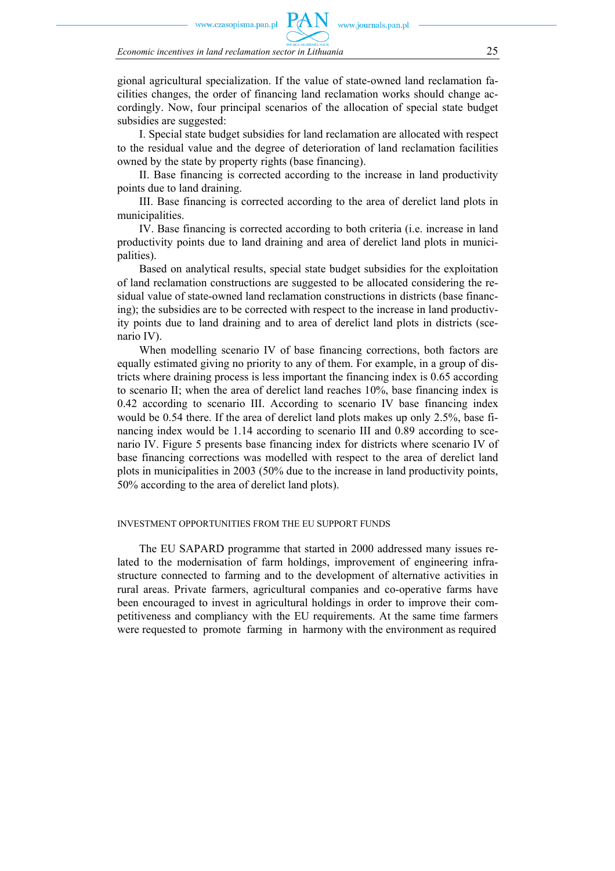zasopisma.pan.pl

gional agricultural specialization. If the value of state-owned land reclamation facilities changes, the order of financing land reclamation works should change accordingly. Now, four principal scenarios of the allocation of special state budget subsidies are suggested:

I. Special state budget subsidies for land reclamation are allocated with respect to the residual value and the degree of deterioration of land reclamation facilities owned by the state by property rights (base financing).

II. Base financing is corrected according to the increase in land productivity points due to land draining.

III. Base financing is corrected according to the area of derelict land plots in municipalities.

IV. Base financing is corrected according to both criteria (i.e. increase in land productivity points due to land draining and area of derelict land plots in municipalities).

Based on analytical results, special state budget subsidies for the exploitation of land reclamation constructions are suggested to be allocated considering the residual value of state-owned land reclamation constructions in districts (base financing); the subsidies are to be corrected with respect to the increase in land productivity points due to land draining and to area of derelict land plots in districts (scenario IV).

When modelling scenario IV of base financing corrections, both factors are equally estimated giving no priority to any of them. For example, in a group of districts where draining process is less important the financing index is 0.65 according to scenario II; when the area of derelict land reaches 10%, base financing index is 0.42 according to scenario III. According to scenario IV base financing index would be 0.54 there. If the area of derelict land plots makes up only 2.5%, base financing index would be 1.14 according to scenario III and 0.89 according to scenario IV. Figure 5 presents base financing index for districts where scenario IV of base financing corrections was modelled with respect to the area of derelict land plots in municipalities in 2003 (50% due to the increase in land productivity points, 50% according to the area of derelict land plots).

#### INVESTMENT OPPORTUNITIES FROM THE EU SUPPORT FUNDS

The EU SAPARD programme that started in 2000 addressed many issues related to the modernisation of farm holdings, improvement of engineering infrastructure connected to farming and to the development of alternative activities in rural areas. Private farmers, agricultural companies and co-operative farms have been encouraged to invest in agricultural holdings in order to improve their competitiveness and compliancy with the EU requirements. At the same time farmers were requested to promote farming in harmony with the environment as required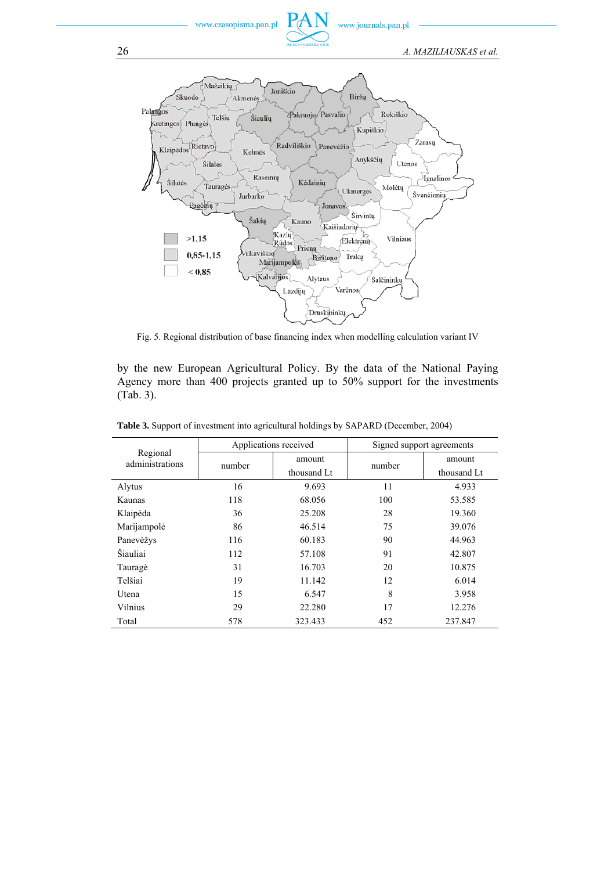www.czasopisma.pan.pl



www.journals.pan.pl

26 *A. MAZILIAUSKAS et al.* 



Fig. 5. Regional distribution of base financing index when modelling calculation variant IV

by the new European Agricultural Policy. By the data of the National Paying Agency more than 400 projects granted up to 50% support for the investments (Tab. 3).

| Regional<br>administrations | Applications received |             | Signed support agreements |             |
|-----------------------------|-----------------------|-------------|---------------------------|-------------|
|                             | number                | amount      | number                    | amount      |
|                             |                       | thousand Lt |                           | thousand Lt |
| Alytus                      | 16                    | 9.693       | 11                        | 4.933       |
| Kaunas                      | 118                   | 68.056      | 100                       | 53.585      |
| Klaipėda                    | 36                    | 25.208      | 28                        | 19.360      |
| Marijampolė                 | 86                    | 46.514      | 75                        | 39.076      |
| Panevėžys                   | 116                   | 60.183      | 90                        | 44.963      |
| Šiauliai                    | 112                   | 57.108      | 91                        | 42.807      |
| Taurage                     | 31                    | 16.703      | 20                        | 10.875      |
| Telšiai                     | 19                    | 11.142      | 12                        | 6.014       |
| Utena                       | 15                    | 6.547       | 8                         | 3.958       |
| Vilnius                     | 29                    | 22.280      | 17                        | 12.276      |
| Total                       | 578                   | 323.433     | 452                       | 237.847     |

**Table 3.** Support of investment into agricultural holdings by SAPARD (December, 2004)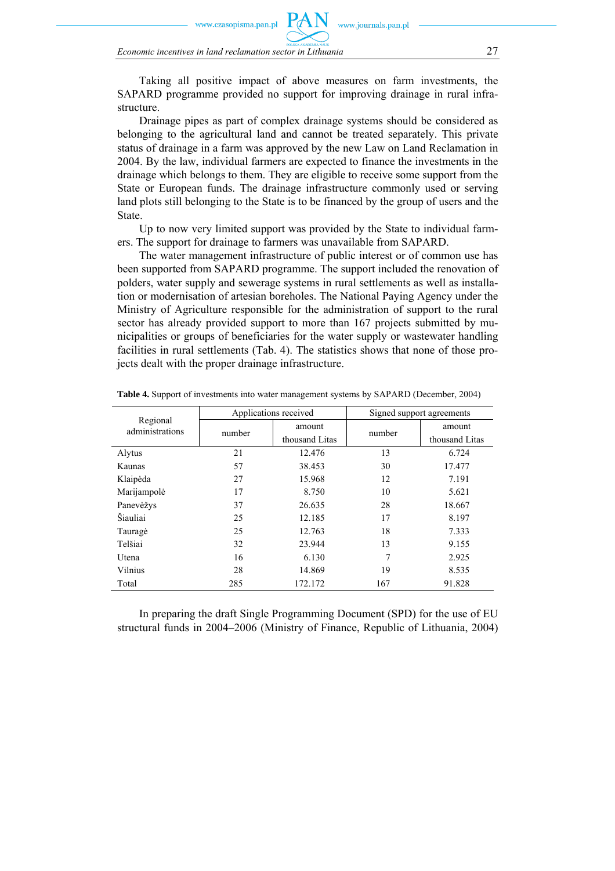czasopisma.pan.pl

*Economic incentives in land reclamation sector in Lithuania* 27

Taking all positive impact of above measures on farm investments, the SAPARD programme provided no support for improving drainage in rural infrastructure.

w.journals.pan.pl

Drainage pipes as part of complex drainage systems should be considered as belonging to the agricultural land and cannot be treated separately. This private status of drainage in a farm was approved by the new Law on Land Reclamation in 2004. By the law, individual farmers are expected to finance the investments in the drainage which belongs to them. They are eligible to receive some support from the State or European funds. The drainage infrastructure commonly used or serving land plots still belonging to the State is to be financed by the group of users and the State.

Up to now very limited support was provided by the State to individual farmers. The support for drainage to farmers was unavailable from SAPARD.

The water management infrastructure of public interest or of common use has been supported from SAPARD programme. The support included the renovation of polders, water supply and sewerage systems in rural settlements as well as installation or modernisation of artesian boreholes. The National Paying Agency under the Ministry of Agriculture responsible for the administration of support to the rural sector has already provided support to more than 167 projects submitted by municipalities or groups of beneficiaries for the water supply or wastewater handling facilities in rural settlements (Tab. 4). The statistics shows that none of those projects dealt with the proper drainage infrastructure.

| Regional<br>administrations | Applications received |                          | Signed support agreements |                          |
|-----------------------------|-----------------------|--------------------------|---------------------------|--------------------------|
|                             | number                | amount<br>thousand Litas | number                    | amount<br>thousand Litas |
| Alytus                      | 21                    | 12.476                   | 13                        | 6.724                    |
| Kaunas                      | 57                    | 38.453                   | 30                        | 17.477                   |
| Klaipėda                    | 27                    | 15.968                   | 12                        | 7.191                    |
| Marijampolė                 | 17                    | 8.750                    | 10                        | 5.621                    |
| Panevėžys                   | 37                    | 26.635                   | 28                        | 18.667                   |
| Šiauliai                    | 25                    | 12.185                   | 17                        | 8.197                    |
| Taurage                     | 25                    | 12.763                   | 18                        | 7.333                    |
| Telšiai                     | 32                    | 23.944                   | 13                        | 9.155                    |
| <b>U</b> tena               | 16                    | 6.130                    | 7                         | 2.925                    |
| Vilnius                     | 28                    | 14.869                   | 19                        | 8.535                    |
| Total                       | 285                   | 172.172                  | 167                       | 91.828                   |

**Table 4.** Support of investments into water management systems by SAPARD (December, 2004)

In preparing the draft Single Programming Document (SPD) for the use of EU structural funds in 2004–2006 (Ministry of Finance, Republic of Lithuania, 2004)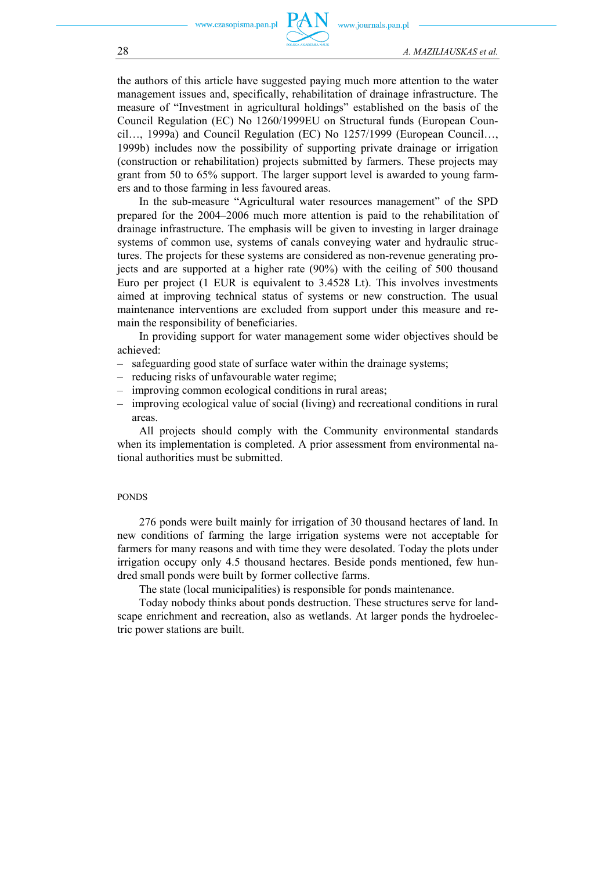.czasopisma.pan.pl



the authors of this article have suggested paying much more attention to the water management issues and, specifically, rehabilitation of drainage infrastructure. The measure of "Investment in agricultural holdings" established on the basis of the Council Regulation (EC) No 1260/1999EU on Structural funds (European Council…, 1999a) and Council Regulation (EC) No 1257/1999 (European Council…, 1999b) includes now the possibility of supporting private drainage or irrigation (construction or rehabilitation) projects submitted by farmers. These projects may grant from 50 to 65% support. The larger support level is awarded to young farmers and to those farming in less favoured areas.

In the sub-measure "Agricultural water resources management" of the SPD prepared for the 2004–2006 much more attention is paid to the rehabilitation of drainage infrastructure. The emphasis will be given to investing in larger drainage systems of common use, systems of canals conveying water and hydraulic structures. The projects for these systems are considered as non-revenue generating projects and are supported at a higher rate (90%) with the ceiling of 500 thousand Euro per project (1 EUR is equivalent to 3.4528 Lt). This involves investments aimed at improving technical status of systems or new construction. The usual maintenance interventions are excluded from support under this measure and remain the responsibility of beneficiaries.

In providing support for water management some wider objectives should be achieved:

- safeguarding good state of surface water within the drainage systems;
- reducing risks of unfavourable water regime;
- improving common ecological conditions in rural areas;
- improving ecological value of social (living) and recreational conditions in rural areas.

All projects should comply with the Community environmental standards when its implementation is completed. A prior assessment from environmental national authorities must be submitted.

#### PONDS

276 ponds were built mainly for irrigation of 30 thousand hectares of land. In new conditions of farming the large irrigation systems were not acceptable for farmers for many reasons and with time they were desolated. Today the plots under irrigation occupy only 4.5 thousand hectares. Beside ponds mentioned, few hundred small ponds were built by former collective farms.

The state (local municipalities) is responsible for ponds maintenance.

Today nobody thinks about ponds destruction. These structures serve for landscape enrichment and recreation, also as wetlands. At larger ponds the hydroelectric power stations are built.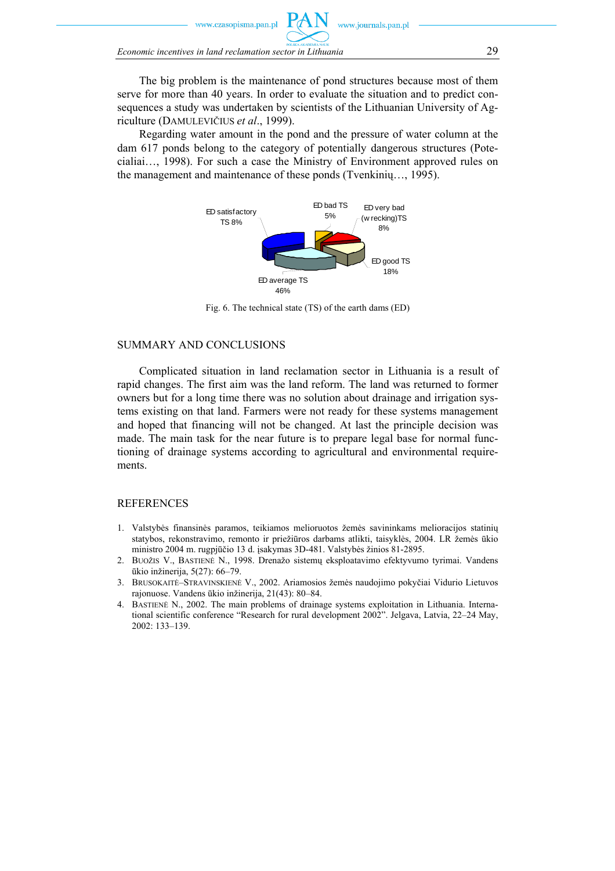w.czasopisma.pan.pl

*Economic incentives in land reclamation sector in Lithuania* 29

The big problem is the maintenance of pond structures because most of them serve for more than 40 years. In order to evaluate the situation and to predict consequences a study was undertaken by scientists of the Lithuanian University of Agriculture (DAMULEVIČIUS *et al*., 1999).

Regarding water amount in the pond and the pressure of water column at the dam 617 ponds belong to the category of potentially dangerous structures (Potecialiai…, 1998). For such a case the Ministry of Environment approved rules on the management and maintenance of these ponds (Tvenkinių…, 1995).



Fig. 6. The technical state (TS) of the earth dams (ED)

## SUMMARY AND CONCLUSIONS

Complicated situation in land reclamation sector in Lithuania is a result of rapid changes. The first aim was the land reform. The land was returned to former owners but for a long time there was no solution about drainage and irrigation systems existing on that land. Farmers were not ready for these systems management and hoped that financing will not be changed. At last the principle decision was made. The main task for the near future is to prepare legal base for normal functioning of drainage systems according to agricultural and environmental requirements.

#### **REFERENCES**

- 1. Valstybės finansinės paramos, teikiamos melioruotos žemės savininkams melioracijos statinių statybos, rekonstravimo, remonto ir priežiūros darbams atlikti, taisyklės, 2004. LR žemės ūkio ministro 2004 m. rugpjūčio 13 d. įsakymas 3D-481. Valstybės žinios 81-2895.
- 2. BUOŽIS V., BASTIENĖ N., 1998. Drenažo sistemų eksploatavimo efektyvumo tyrimai. Vandens ūkio inžinerija, 5(27): 66–79.
- 3. BRUSOKAITĖ–STRAVINSKIENĖ V., 2002. Ariamosios žemės naudojimo pokyčiai Vidurio Lietuvos rajonuose. Vandens ūkio inžinerija, 21(43): 80–84.
- 4. BASTIENĖ N., 2002. The main problems of drainage systems exploitation in Lithuania. International scientific conference "Research for rural development 2002". Jelgava, Latvia, 22–24 May, 2002: 133–139.